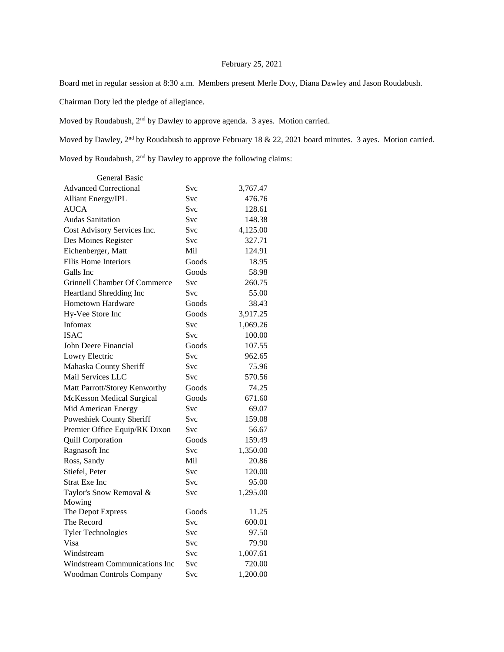## February 25, 2021

Board met in regular session at 8:30 a.m. Members present Merle Doty, Diana Dawley and Jason Roudabush.

Chairman Doty led the pledge of allegiance.

Moved by Roudabush, 2nd by Dawley to approve agenda. 3 ayes. Motion carried.

Moved by Dawley, 2<sup>nd</sup> by Roudabush to approve February 18 & 22, 2021 board minutes. 3 ayes. Motion carried.

Moved by Roudabush, 2<sup>nd</sup> by Dawley to approve the following claims:

| <b>General Basic</b>                |            |          |
|-------------------------------------|------------|----------|
| <b>Advanced Correctional</b>        | Svc        | 3,767.47 |
| <b>Alliant Energy/IPL</b>           | Svc        | 476.76   |
| <b>AUCA</b>                         | Svc        | 128.61   |
| <b>Audas Sanitation</b>             | Svc        | 148.38   |
| Cost Advisory Services Inc.         | Svc        | 4,125.00 |
| Des Moines Register                 | Svc        | 327.71   |
| Eichenberger, Matt                  | Mil        | 124.91   |
| Ellis Home Interiors                | Goods      | 18.95    |
| Galls Inc                           | Goods      | 58.98    |
| <b>Grinnell Chamber Of Commerce</b> | Svc        | 260.75   |
| Heartland Shredding Inc             | Svc        | 55.00    |
| <b>Hometown Hardware</b>            | Goods      | 38.43    |
| Hy-Vee Store Inc                    | Goods      | 3,917.25 |
| Infomax                             | Svc        | 1,069.26 |
| <b>ISAC</b>                         | Svc        | 100.00   |
| John Deere Financial                | Goods      | 107.55   |
| Lowry Electric                      | Svc        | 962.65   |
| Mahaska County Sheriff              | <b>Svc</b> | 75.96    |
| Mail Services LLC                   | Svc        | 570.56   |
| Matt Parrott/Storey Kenworthy       | Goods      | 74.25    |
| <b>McKesson Medical Surgical</b>    | Goods      | 671.60   |
| Mid American Energy                 | Svc        | 69.07    |
| Poweshiek County Sheriff            | Svc        | 159.08   |
| Premier Office Equip/RK Dixon       | Svc        | 56.67    |
| <b>Quill Corporation</b>            | Goods      | 159.49   |
| Ragnasoft Inc                       | Svc        | 1,350.00 |
| Ross, Sandy                         | Mil        | 20.86    |
| Stiefel, Peter                      | Svc        | 120.00   |
| <b>Strat Exe Inc</b>                | Svc        | 95.00    |
| Taylor's Snow Removal &             | Svc        | 1,295.00 |
| Mowing                              |            |          |
| The Depot Express                   | Goods      | 11.25    |
| The Record                          | Svc        | 600.01   |
| <b>Tyler Technologies</b>           | <b>Svc</b> | 97.50    |
| Visa                                | Svc        | 79.90    |
| Windstream                          | Svc        | 1,007.61 |
| Windstream Communications Inc       | Svc        | 720.00   |
| Woodman Controls Company            | Svc        | 1,200.00 |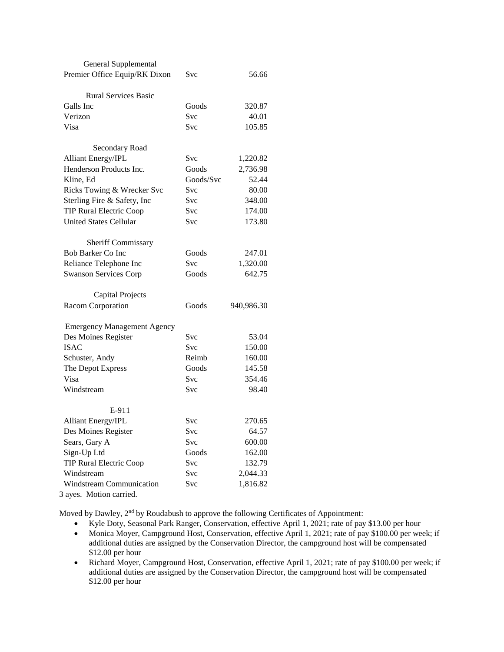| <b>General Supplemental</b>        |            |            |
|------------------------------------|------------|------------|
| Premier Office Equip/RK Dixon      | Svc        | 56.66      |
|                                    |            |            |
| <b>Rural Services Basic</b>        |            |            |
| Galls Inc                          | Goods      | 320.87     |
| Verizon                            | <b>Svc</b> | 40.01      |
| Visa                               | Svc        | 105.85     |
| Secondary Road                     |            |            |
| <b>Alliant Energy/IPL</b>          | Svc        | 1,220.82   |
| Henderson Products Inc.            | Goods      | 2,736.98   |
| Kline, Ed                          | Goods/Svc  | 52.44      |
| Ricks Towing & Wrecker Svc         | Svc        | 80.00      |
| Sterling Fire & Safety, Inc        | <b>Svc</b> | 348.00     |
| <b>TIP Rural Electric Coop</b>     | <b>Svc</b> | 174.00     |
| <b>United States Cellular</b>      | <b>Svc</b> | 173.80     |
|                                    |            |            |
| <b>Sheriff Commissary</b>          |            |            |
| <b>Bob Barker Co Inc</b>           | Goods      | 247.01     |
| Reliance Telephone Inc             | <b>Svc</b> | 1,320.00   |
| <b>Swanson Services Corp</b>       | Goods      | 642.75     |
| Capital Projects                   |            |            |
| Racom Corporation                  | Goods      | 940,986.30 |
|                                    |            |            |
| <b>Emergency Management Agency</b> |            |            |
| Des Moines Register                | Svc        | 53.04      |
| <b>ISAC</b>                        | <b>Svc</b> | 150.00     |
| Schuster, Andy                     | Reimb      | 160.00     |
| The Depot Express                  | Goods      | 145.58     |
| Visa                               | <b>Svc</b> | 354.46     |
| Windstream                         | Svc        | 98.40      |
| E-911                              |            |            |
| <b>Alliant Energy/IPL</b>          | Svc        | 270.65     |
| Des Moines Register                | Svc        | 64.57      |
| Sears, Gary A                      | Svc        | 600.00     |
| Sign-Up Ltd                        | Goods      | 162.00     |
| <b>TIP Rural Electric Coop</b>     | Svc        | 132.79     |
| Windstream                         | Svc        | 2,044.33   |
| Windstream Communication           | Svc        | 1,816.82   |
|                                    |            |            |

3 ayes. Motion carried.

Moved by Dawley,  $2<sup>nd</sup>$  by Roudabush to approve the following Certificates of Appointment:

- Kyle Doty, Seasonal Park Ranger, Conservation, effective April 1, 2021; rate of pay \$13.00 per hour
- Monica Moyer, Campground Host, Conservation, effective April 1, 2021; rate of pay \$100.00 per week; if additional duties are assigned by the Conservation Director, the campground host will be compensated \$12.00 per hour
- Richard Moyer, Campground Host, Conservation, effective April 1, 2021; rate of pay \$100.00 per week; if additional duties are assigned by the Conservation Director, the campground host will be compensated \$12.00 per hour